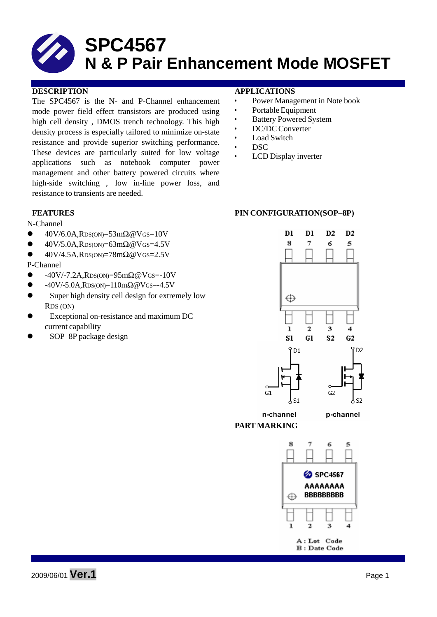The SPC4567 is the N- and P-Channel enhancement mode power field effect transistors are produced using high cell density , DMOS trench technology. This high density process is especially tailored to minimize on-state resistance and provide superior switching performance. These devices are particularly suited for low voltage applications such as notebook computer power management and other battery powered circuits where high-side switching , low in-line power loss, and resistance to transients are needed.

#### N-Channel

- 40V/6.0A,RDS(ON)=53mΩ@VGS=10V
- $\bullet$  40V/5.0A, RDS(ON)=63m $\Omega$  @VGS=4.5V
- 40V/4.5A,RDS(ON)=78mΩ@VGS=2.5V

#### P-Channel

- $-40V$ /-7.2A,RDS(ON)=95m $\Omega$ @VGS=-10V
- $-40V$ /-5.0A,RDS(ON)=110m $\Omega$ @VGS=-4.5V
- Super high density cell design for extremely low RDS (ON)
- Exceptional on-resistance and maximum DC current capability
- SOP–8P package design

#### **DESCRIPTION APPLICATIONS**

- Power Management in Note book
- Portable Equipment
- Battery Powered System
- DC/DC Converter
- Load Switch
- DSC
- LCD Display inverter

#### **FEATURES PIN CONFIGURATION(SOP–8P)**





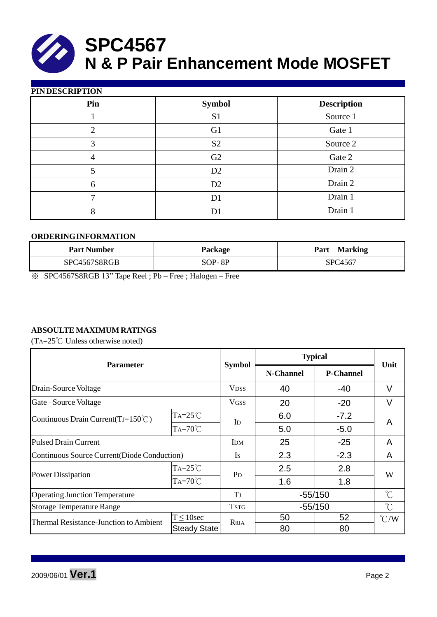#### **PIN DESCRIPTION**

| - ----- |                |                    |
|---------|----------------|--------------------|
| Pin     | <b>Symbol</b>  | <b>Description</b> |
|         | S <sub>1</sub> | Source 1           |
| ∍       | G1             | Gate 1             |
| 3       | S <sub>2</sub> | Source 2           |
| 4       | G2             | Gate 2             |
|         | D2             | Drain 2            |
| 6       | D2             | Drain 2            |
|         | D1             | Drain 1            |
| 8       |                | Drain 1            |
|         |                |                    |

#### **ORDERINGINFORMATION**

| <b>Part Number</b> | Package  | <b>Marking</b><br>Part |
|--------------------|----------|------------------------|
| SPC4567S8RGB       | $SOP-8P$ | SPC4567                |

※ SPC4567S8RGB 13" Tape Reel ; Pb – Free ; Halogen – Free

## **ABSOULTE MAXIMUM RATINGS**

(TA=25℃ Unless otherwise noted)

| <b>Parameter</b>                             |                     | <b>Symbol</b>          | <b>Typical</b>   |                  |                         |  |
|----------------------------------------------|---------------------|------------------------|------------------|------------------|-------------------------|--|
|                                              |                     |                        | <b>N-Channel</b> | <b>P-Channel</b> | Unit                    |  |
| Drain-Source Voltage                         |                     | <b>V<sub>DSS</sub></b> | 40               | -40              | V                       |  |
| Gate-Source Voltage                          |                     | <b>VGSS</b>            | 20               | $-20$            | V                       |  |
| Continuous Drain Current (TJ=150°C)          | $TA = 25^{\circ}C$  |                        | 6.0              | $-7.2$           | A                       |  |
|                                              | $Ta=70^{\circ}C$    | I <sub>D</sub>         | 5.0              | $-5.0$           |                         |  |
| <b>Pulsed Drain Current</b>                  |                     | <b>IDM</b>             | 25               | $-25$            | A                       |  |
| Continuous Source Current (Diode Conduction) |                     | <b>Is</b>              | 2.3              | $-2.3$           | A                       |  |
|                                              | $TA = 25^{\circ}C$  | P <sub>D</sub>         | 2.5              | 2.8              | W                       |  |
| <b>Power Dissipation</b>                     | $TA=70^{\circ}C$    |                        | 1.6              | 1.8              |                         |  |
| <b>Operating Junction Temperature</b>        |                     | T                      | $-55/150$        |                  | $\hat{C}$               |  |
| <b>Storage Temperature Range</b>             |                     | <b>TSTG</b>            | $-55/150$        |                  | $\mathrm{C}^{\circ}$    |  |
| Thermal Resistance-Junction to Ambient       | $T \leq 10$ sec     | $R\theta$ JA           | 50               | 52               | $\mathrm{C}/\mathrm{W}$ |  |
|                                              | <b>Steady State</b> |                        | 80               | 80               |                         |  |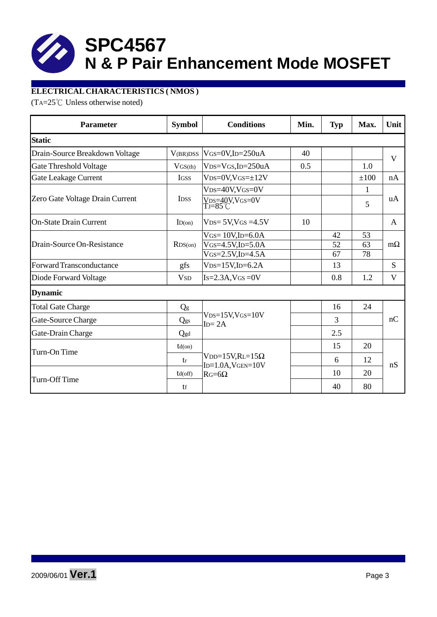# **ELECTRICAL CHARACTERISTICS ( NMOS )**

(TA=25℃ Unless otherwise noted)

| <b>Parameter</b>                | <b>Symbol</b>          | <b>Conditions</b>                                     |     | <b>Typ</b> | Max. | Unit      |  |  |  |
|---------------------------------|------------------------|-------------------------------------------------------|-----|------------|------|-----------|--|--|--|
| <b>Static</b>                   |                        |                                                       |     |            |      |           |  |  |  |
| Drain-Source Breakdown Voltage  | V(BR)DSS               | $V$ GS=0V,ID=250uA                                    | 40  |            |      | V         |  |  |  |
| Gate Threshold Voltage          | $V$ GS(th)             | $VDS=VGS$ , ID=250uA                                  | 0.5 |            | 1.0  |           |  |  |  |
| <b>Gate Leakage Current</b>     | <b>IGSS</b>            | $VDS=0V$ , $VGS=\pm 12V$                              |     |            | ±100 | nA        |  |  |  |
|                                 |                        | $V_{DS=40}V_{VGS=0}V$                                 |     |            | 1    | uA        |  |  |  |
| Zero Gate Voltage Drain Current | <b>IDSS</b>            | VDS=40V,VGS=0V<br>TJ=85°C                             |     |            | 5    |           |  |  |  |
| <b>On-State Drain Current</b>   | ID(on)                 | $VDS = 5V$ , $VGS = 4.5V$                             | 10  |            |      | A         |  |  |  |
|                                 | RDS(0n)                | $V$ GS= $10V$ , ID=6.0A                               |     | 42         | 53   | $m\Omega$ |  |  |  |
| Drain-Source On-Resistance      |                        | $V$ GS=4.5V,ID=5.0A                                   |     | 52         | 63   |           |  |  |  |
|                                 |                        | $V$ GS=2.5V,ID=4.5A                                   |     | 67         | 78   |           |  |  |  |
| Forward Transconductance        | gfs                    | $VDS=15V$ , ID=6.2A                                   |     | 13         |      | S         |  |  |  |
| Diode Forward Voltage           | <b>V</b> <sub>SD</sub> | $Is=2.3A$ , $VGS=0V$                                  |     | 0.8        | 1.2  | V         |  |  |  |
| <b>Dynamic</b>                  |                        |                                                       |     |            |      |           |  |  |  |
| <b>Total Gate Charge</b>        | Qg                     |                                                       |     | 16         | 24   | nC        |  |  |  |
| Gate-Source Charge              | Qgs                    | $VDS=15V$ , $VGS=10V$<br>$ID = 2A$                    |     | 3          |      |           |  |  |  |
| Gate-Drain Charge               | Qgd                    |                                                       |     | 2.5        |      |           |  |  |  |
| Turn-On Time                    | $td($ on $)$           |                                                       |     | 15         | 20   | nS        |  |  |  |
|                                 | tr                     | $VDD=15V,RL=15\Omega$<br>$ID = 1.0A$ , $V$ GEN= $10V$ |     | 6          | 12   |           |  |  |  |
|                                 | $td($ off $)$          | $RG=6\Omega$                                          |     | 10         | 20   |           |  |  |  |
| Turn-Off Time                   | tf                     |                                                       |     | 40         | 80   |           |  |  |  |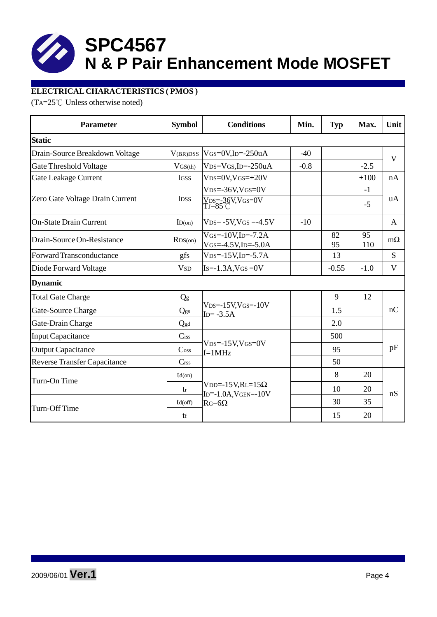# **ELECTRICAL CHARACTERISTICS ( PMOS )**

(TA=25℃ Unless otherwise noted)

| <b>Parameter</b>                    | <b>Symbol</b>               | <b>Conditions</b>                                             | Min.   | <b>Typ</b> | Max.   | Unit      |  |
|-------------------------------------|-----------------------------|---------------------------------------------------------------|--------|------------|--------|-----------|--|
| <b>Static</b>                       |                             |                                                               |        |            |        |           |  |
| Drain-Source Breakdown Voltage      | V <sub>(BR)</sub> DSS       | $V$ GS=0V,ID=-250uA                                           | $-40$  |            |        | V         |  |
| <b>Gate Threshold Voltage</b>       | $V$ GS(th)                  | $VDS=VGS$ , ID=-250uA                                         | $-0.8$ |            | $-2.5$ |           |  |
| <b>Gate Leakage Current</b>         | <b>IGSS</b>                 | $VDS = 0V$ , $VGS = \pm 20V$                                  |        |            | ±100   | nA        |  |
|                                     |                             | $VDS = -36V$ , $VGS = 0V$                                     |        |            | $-1$   | uA        |  |
| Zero Gate Voltage Drain Current     | <b>IDSS</b>                 | $V_{DS=-}36V,V$ GS=0V<br>Tj=85°C                              |        |            | $-5$   |           |  |
| <b>On-State Drain Current</b>       | ID(on)                      | $VDS = -5V$ , $VGS = -4.5V$                                   | $-10$  |            |        | A         |  |
| Drain-Source On-Resistance          | RDS(0n)                     | $V$ GS=-10V,ID=-7.2A                                          |        | 82         | 95     | $m\Omega$ |  |
|                                     |                             | $VGS = -4.5V$ , ID $= -5.0A$                                  |        | 95         | 110    |           |  |
| Forward Transconductance            | gfs                         | $VDS = -15V$ , ID $= -5.7A$                                   |        | 13         |        | S         |  |
| Diode Forward Voltage               | <b>V</b> <sub>SD</sub>      | $Is = -1.3A$ , $VGS = 0V$                                     |        | $-0.55$    | $-1.0$ | V         |  |
| <b>Dynamic</b>                      |                             |                                                               |        |            |        |           |  |
| <b>Total Gate Charge</b>            | Qg                          |                                                               |        | 9          | 12     | nC        |  |
| Gate-Source Charge                  | Qgs                         | $VDS = -15V$ , $VGS = -10V$<br>$ID = -3.5A$                   |        | 1.5        |        |           |  |
| Gate-Drain Charge                   | Qgd                         |                                                               |        | 2.0        |        |           |  |
| <b>Input Capacitance</b>            | $C$ iss                     |                                                               |        | 500        |        | pF        |  |
| <b>Output Capacitance</b>           | $\mathrm{C}$ <sub>oss</sub> | $VDS = -15V$ , $VGS = 0V$<br>$f=1$ MHz                        |        | 95         |        |           |  |
| <b>Reverse Transfer Capacitance</b> | C <sub>rss</sub>            |                                                               |        | 50         |        |           |  |
| Turn-On Time                        | $td($ on $)$                |                                                               |        | 8          | 20     | nS        |  |
|                                     | tr                          | $VDD = -15V, RL = 15\Omega$<br>$ID = -1.0A$ , $V$ GEN = - 10V |        | 10         | 20     |           |  |
| Turn-Off Time                       | $td($ off $)$               | $RG=6\Omega$                                                  |        | 30         | 35     |           |  |
|                                     | tf                          |                                                               |        | 15         | 20     |           |  |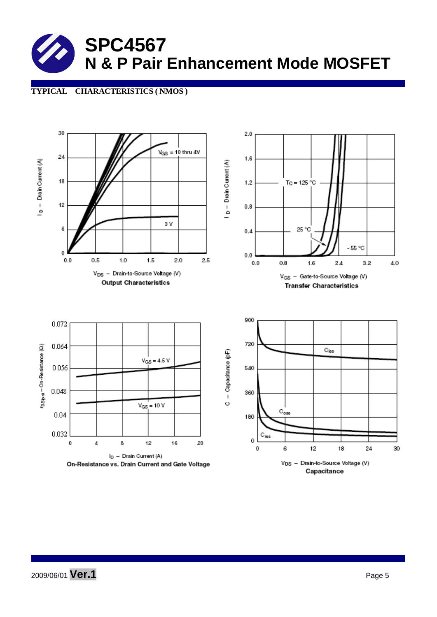#### **TYPICAL CHARACTERISTICS ( NMOS )**

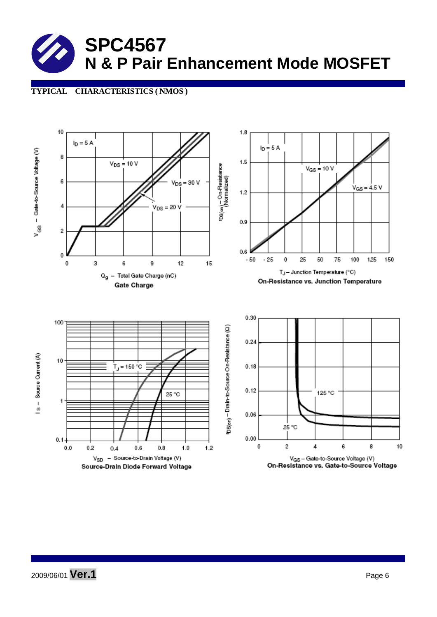## **TYPICAL CHARACTERISTICS ( NMOS )**



2009/06/01 **Ver.1** Page <sup>6</sup>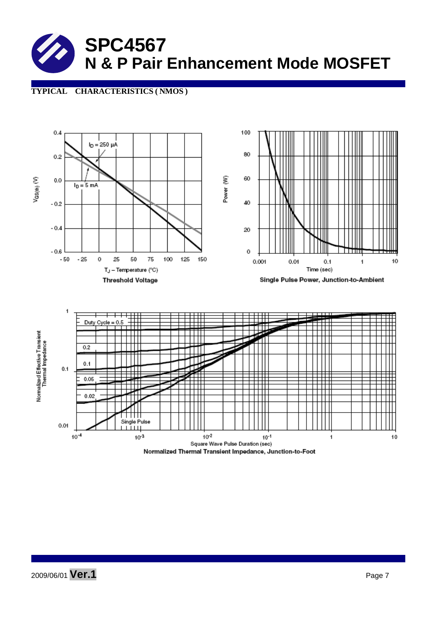## **TYPICAL CHARACTERISTICS ( NMOS )**

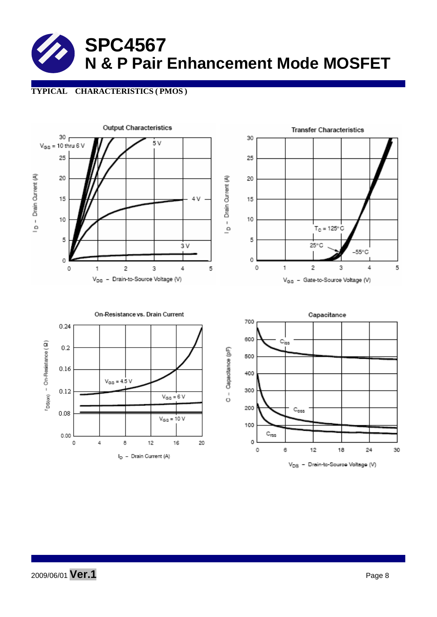## **TYPICAL CHARACTERISTICS ( PMOS )**

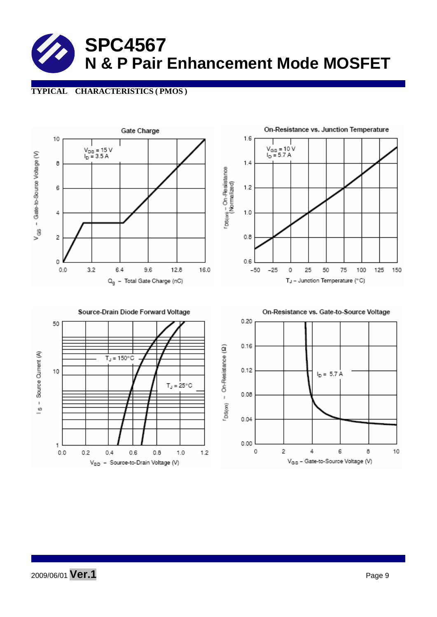## **TYPICAL CHARACTERISTICS ( PMOS )**



2009/06/01 **Ver.1** Page <sup>9</sup>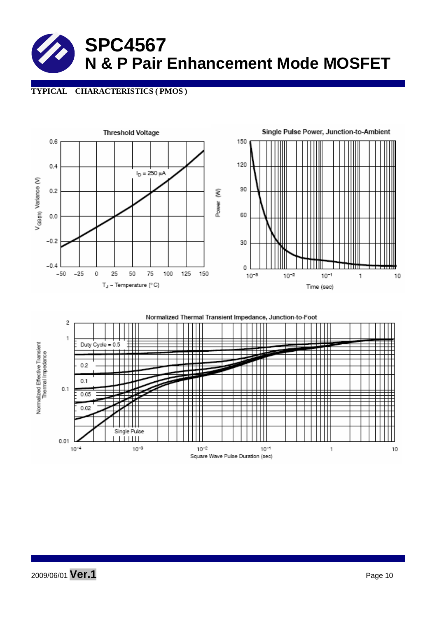## **TYPICAL CHARACTERISTICS ( PMOS )**



 $10^{-2}$ 

Square Wave Pulse Duration (sec)

 $10^{-1}$ 

 $\,1\,$ 

2009/06/01 **Ver.1** Page <sup>10</sup>

 $10^{-4}$ 

 $10^{-3}$ 

10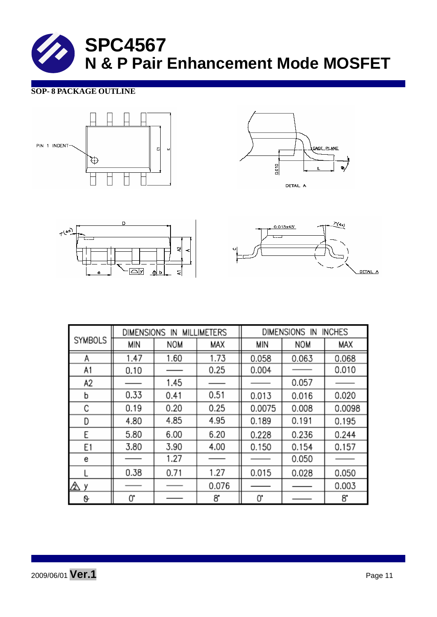#### **SOP- 8 PACKAGE OUTLINE**









|                | DIMENSIONS IN<br><b>MILLIMETERS</b> |      |       | DIMENSIONS IN<br><b>INCHES</b> |            |        |  |
|----------------|-------------------------------------|------|-------|--------------------------------|------------|--------|--|
| <b>SYMBOLS</b> | MIN                                 | NOM  | MAX   | MIN                            | <b>NOM</b> | MAX    |  |
| А              | 1.47                                | 1.60 | 1.73  | 0.058                          | 0.063      | 0.068  |  |
| A1             | 0.10                                |      | 0.25  | 0.004                          |            | 0.010  |  |
| A2             |                                     | 1.45 |       |                                | 0.057      |        |  |
| b              | 0.33                                | 0.41 | 0.51  | 0.013                          | 0.016      | 0.020  |  |
| С              | 0.19                                | 0.20 | 0.25  | 0.0075                         | 0.008      | 0.0098 |  |
| D              | 4.80                                | 4.85 | 4.95  | 0.189                          | 0.191      | 0.195  |  |
| E              | 5.80                                | 6.00 | 6.20  | 0.228                          | 0.236      | 0.244  |  |
| E1             | 3.80                                | 3.90 | 4.00  | 0.150                          | 0.154      | 0.157  |  |
| е              |                                     | 1.27 |       |                                | 0.050      |        |  |
|                | 0.38                                | 0.71 | 1.27  | 0.015                          | 0.028      | 0.050  |  |
| Δу             |                                     |      | 0.076 |                                |            | 0.003  |  |
| 0              | 0.                                  |      | 8.    | 0.                             |            | 8.     |  |